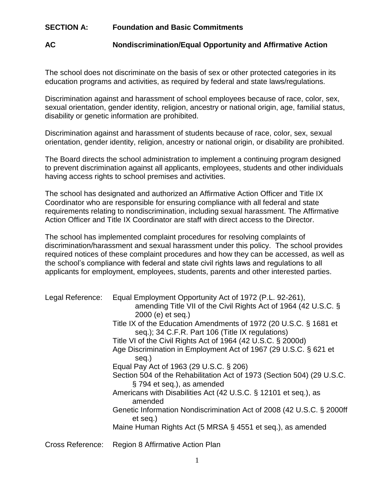## **SECTION A: Foundation and Basic Commitments**

## **AC Nondiscrimination/Equal Opportunity and Affirmative Action**

The school does not discriminate on the basis of sex or other protected categories in its education programs and activities, as required by federal and state laws/regulations.

Discrimination against and harassment of school employees because of race, color, sex, sexual orientation, gender identity, religion, ancestry or national origin, age, familial status, disability or genetic information are prohibited.

Discrimination against and harassment of students because of race, color, sex, sexual orientation, gender identity, religion, ancestry or national origin, or disability are prohibited.

The Board directs the school administration to implement a continuing program designed to prevent discrimination against all applicants, employees, students and other individuals having access rights to school premises and activities.

The school has designated and authorized an Affirmative Action Officer and Title IX Coordinator who are responsible for ensuring compliance with all federal and state requirements relating to nondiscrimination, including sexual harassment. The Affirmative Action Officer and Title IX Coordinator are staff with direct access to the Director.

The school has implemented complaint procedures for resolving complaints of discrimination/harassment and sexual harassment under this policy. The school provides required notices of these complaint procedures and how they can be accessed, as well as the school's compliance with federal and state civil rights laws and regulations to all applicants for employment, employees, students, parents and other interested parties.

| Legal Reference: | Equal Employment Opportunity Act of 1972 (P.L. 92-261),<br>amending Title VII of the Civil Rights Act of 1964 (42 U.S.C. §<br>2000 (e) et seq.)<br>Title IX of the Education Amendments of 1972 (20 U.S.C. § 1681 et<br>seq.); 34 C.F.R. Part 106 (Title IX regulations)<br>Title VI of the Civil Rights Act of 1964 (42 U.S.C. § 2000d)<br>Age Discrimination in Employment Act of 1967 (29 U.S.C. § 621 et<br>seg.)<br>Equal Pay Act of 1963 (29 U.S.C. § 206)<br>Section 504 of the Rehabilitation Act of 1973 (Section 504) (29 U.S.C.<br>§ 794 et seq.), as amended<br>Americans with Disabilities Act (42 U.S.C. § 12101 et seq.), as<br>amended<br>Genetic Information Nondiscrimination Act of 2008 (42 U.S.C. § 2000ff<br>et seq.)<br>Maine Human Rights Act (5 MRSA § 4551 et seq.), as amended |
|------------------|-----------------------------------------------------------------------------------------------------------------------------------------------------------------------------------------------------------------------------------------------------------------------------------------------------------------------------------------------------------------------------------------------------------------------------------------------------------------------------------------------------------------------------------------------------------------------------------------------------------------------------------------------------------------------------------------------------------------------------------------------------------------------------------------------------------|
| Cross Reference: | Region 8 Affirmative Action Plan                                                                                                                                                                                                                                                                                                                                                                                                                                                                                                                                                                                                                                                                                                                                                                          |
|                  |                                                                                                                                                                                                                                                                                                                                                                                                                                                                                                                                                                                                                                                                                                                                                                                                           |